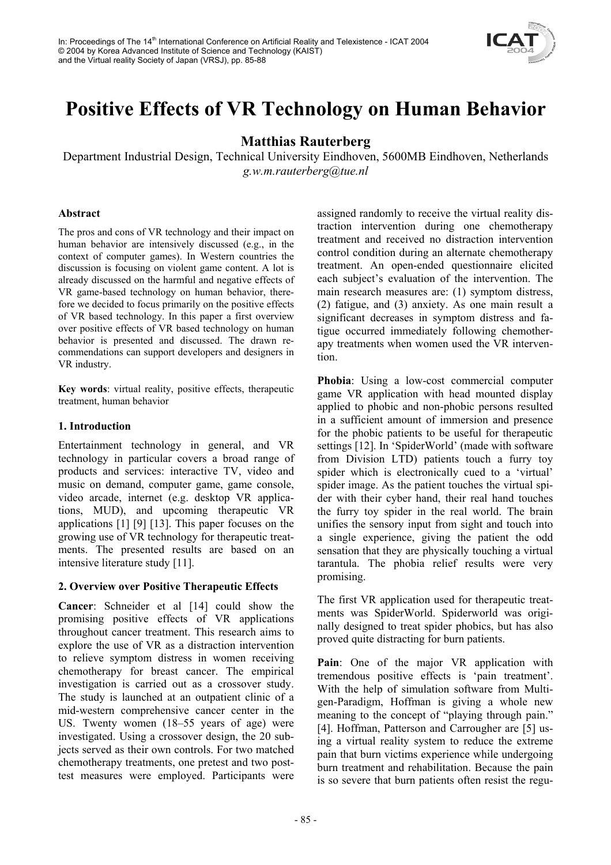

# **Positive Effects of VR Technology on Human Behavior**

## **Matthias Rauterberg**

Department Industrial Design, Technical University Eindhoven, 5600MB Eindhoven, Netherlands *g.w.m.rauterberg@tue.nl* 

### **Abstract**

The pros and cons of VR technology and their impact on human behavior are intensively discussed (e.g., in the context of computer games). In Western countries the discussion is focusing on violent game content. A lot is already discussed on the harmful and negative effects of VR game-based technology on human behavior, therefore we decided to focus primarily on the positive effects of VR based technology. In this paper a first overview over positive effects of VR based technology on human behavior is presented and discussed. The drawn recommendations can support developers and designers in VR industry.

**Key words**: virtual reality, positive effects, therapeutic treatment, human behavior

## **1. Introduction**

Entertainment technology in general, and VR technology in particular covers a broad range of products and services: interactive TV, video and music on demand, computer game, game console, video arcade, internet (e.g. desktop VR applications, MUD), and upcoming therapeutic VR applications [1] [9] [13]. This paper focuses on the growing use of VR technology for therapeutic treatments. The presented results are based on an intensive literature study [11].

## **2. Overview over Positive Therapeutic Effects**

**Cancer**: Schneider et al [14] could show the promising positive effects of VR applications throughout cancer treatment. This research aims to explore the use of VR as a distraction intervention to relieve symptom distress in women receiving chemotherapy for breast cancer. The empirical investigation is carried out as a crossover study. The study is launched at an outpatient clinic of a mid-western comprehensive cancer center in the US. Twenty women (18–55 years of age) were investigated. Using a crossover design, the 20 subjects served as their own controls. For two matched chemotherapy treatments, one pretest and two posttest measures were employed. Participants were

assigned randomly to receive the virtual reality distraction intervention during one chemotherapy treatment and received no distraction intervention control condition during an alternate chemotherapy treatment. An open-ended questionnaire elicited each subject's evaluation of the intervention. The main research measures are: (1) symptom distress, (2) fatigue, and (3) anxiety. As one main result a significant decreases in symptom distress and fatigue occurred immediately following chemotherapy treatments when women used the VR intervention.

**Phobia**: Using a low-cost commercial computer game VR application with head mounted display applied to phobic and non-phobic persons resulted in a sufficient amount of immersion and presence for the phobic patients to be useful for therapeutic settings [12]. In 'SpiderWorld' (made with software from Division LTD) patients touch a furry toy spider which is electronically cued to a 'virtual' spider image. As the patient touches the virtual spider with their cyber hand, their real hand touches the furry toy spider in the real world. The brain unifies the sensory input from sight and touch into a single experience, giving the patient the odd sensation that they are physically touching a virtual tarantula. The phobia relief results were very promising.

The first VR application used for therapeutic treatments was SpiderWorld. Spiderworld was originally designed to treat spider phobics, but has also proved quite distracting for burn patients.

**Pain**: One of the major VR application with tremendous positive effects is 'pain treatment'. With the help of simulation software from Multigen-Paradigm, Hoffman is giving a whole new meaning to the concept of "playing through pain." [4]. Hoffman, Patterson and Carrougher are [5] using a virtual reality system to reduce the extreme pain that burn victims experience while undergoing burn treatment and rehabilitation. Because the pain is so severe that burn patients often resist the regu-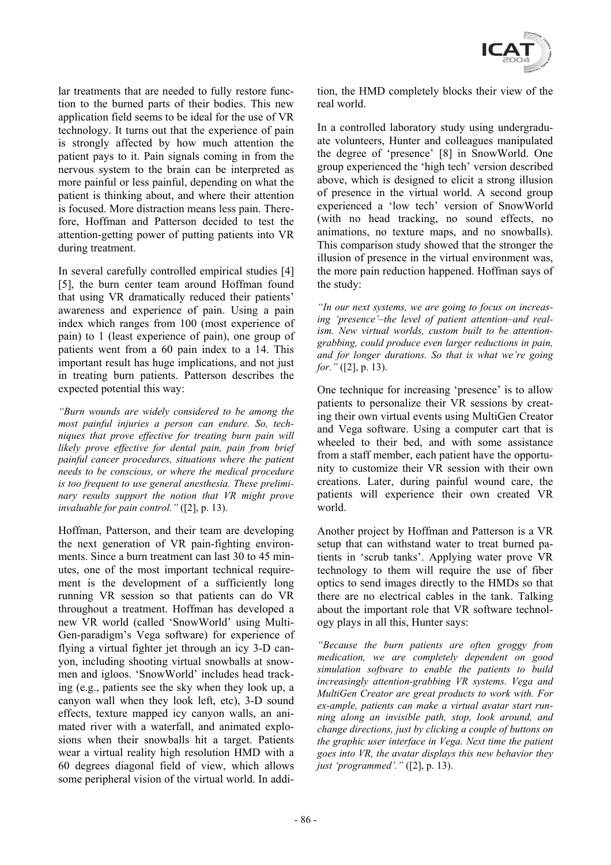

lar treatments that are needed to fully restore function to the burned parts of their bodies. This new application field seems to be ideal for the use of VR technology. It turns out that the experience of pain is strongly affected by how much attention the patient pays to it. Pain signals coming in from the nervous system to the brain can be interpreted as more painful or less painful, depending on what the patient is thinking about, and where their attention is focused. More distraction means less pain. Therefore, Hoffman and Patterson decided to test the attention-getting power of putting patients into VR during treatment.

In several carefully controlled empirical studies [4] [5], the burn center team around Hoffman found that using VR dramatically reduced their patients' awareness and experience of pain. Using a pain index which ranges from 100 (most experience of pain) to 1 (least experience of pain), one group of patients went from a 60 pain index to a 14. This important result has huge implications, and not just in treating burn patients. Patterson describes the expected potential this way:

*"Burn wounds are widely considered to be among the most painful injuries a person can endure. So, techniques that prove effective for treating burn pain will likely prove effective for dental pain, pain from brief painful cancer procedures, situations where the patient needs to be conscious, or where the medical procedure is too frequent to use general anesthesia. These preliminary results support the notion that VR might prove invaluable for pain control."* ([2], p. 13).

Hoffman, Patterson, and their team are developing the next generation of VR pain-fighting environments. Since a burn treatment can last 30 to 45 minutes, one of the most important technical requirement is the development of a sufficiently long running VR session so that patients can do VR throughout a treatment. Hoffman has developed a new VR world (called 'SnowWorld' using Multi-Gen-paradigm's Vega software) for experience of flying a virtual fighter jet through an icy 3-D canyon, including shooting virtual snowballs at snowmen and igloos. 'SnowWorld' includes head tracking (e.g., patients see the sky when they look up, a canyon wall when they look left, etc), 3-D sound effects, texture mapped icy canyon walls, an animated river with a waterfall, and animated explosions when their snowballs hit a target. Patients wear a virtual reality high resolution HMD with a 60 degrees diagonal field of view, which allows some peripheral vision of the virtual world. In addition, the HMD completely blocks their view of the real world.

In a controlled laboratory study using undergraduate volunteers, Hunter and colleagues manipulated the degree of 'presence' [8] in SnowWorld. One group experienced the 'high tech' version described above, which is designed to elicit a strong illusion of presence in the virtual world. A second group experienced a 'low tech' version of SnowWorld (with no head tracking, no sound effects, no animations, no texture maps, and no snowballs). This comparison study showed that the stronger the illusion of presence in the virtual environment was, the more pain reduction happened. Hoffman says of the study:

*"In our next systems, we are going to focus on increasing 'presence'–the level of patient attention–and realism. New virtual worlds, custom built to be attentiongrabbing, could produce even larger reductions in pain, and for longer durations. So that is what we're going for."* ([2], p. 13).

One technique for increasing 'presence' is to allow patients to personalize their VR sessions by creating their own virtual events using MultiGen Creator and Vega software. Using a computer cart that is wheeled to their bed, and with some assistance from a staff member, each patient have the opportunity to customize their VR session with their own creations. Later, during painful wound care, the patients will experience their own created VR world.

Another project by Hoffman and Patterson is a VR setup that can withstand water to treat burned patients in 'scrub tanks'. Applying water prove VR technology to them will require the use of fiber optics to send images directly to the HMDs so that there are no electrical cables in the tank. Talking about the important role that VR software technology plays in all this, Hunter says:

*"Because the burn patients are often groggy from medication, we are completely dependent on good simulation software to enable the patients to build increasingly attention-grabbing VR systems. Vega and MultiGen Creator are great products to work with. For ex-ample, patients can make a virtual avatar start running along an invisible path, stop, look around, and change directions, just by clicking a couple of buttons on the graphic user interface in Vega. Next time the patient goes into VR, the avatar displays this new behavior they just 'programmed'."* ([2], p. 13).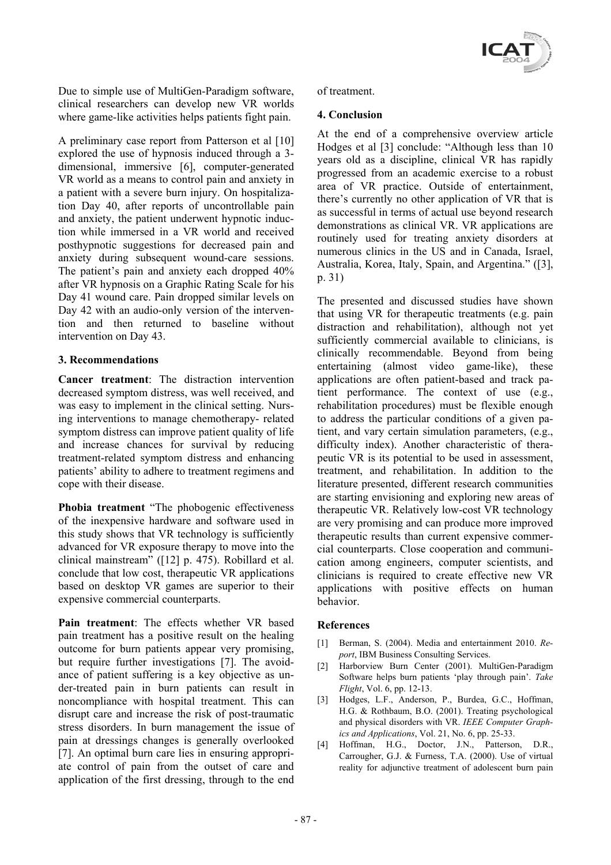

Due to simple use of MultiGen-Paradigm software, clinical researchers can develop new VR worlds where game-like activities helps patients fight pain.

A preliminary case report from Patterson et al [10] explored the use of hypnosis induced through a 3 dimensional, immersive [6], computer-generated VR world as a means to control pain and anxiety in a patient with a severe burn injury. On hospitalization Day 40, after reports of uncontrollable pain and anxiety, the patient underwent hypnotic induction while immersed in a VR world and received posthypnotic suggestions for decreased pain and anxiety during subsequent wound-care sessions. The patient's pain and anxiety each dropped 40% after VR hypnosis on a Graphic Rating Scale for his Day 41 wound care. Pain dropped similar levels on Day 42 with an audio-only version of the intervention and then returned to baseline without intervention on Day 43.

### **3. Recommendations**

**Cancer treatment**: The distraction intervention decreased symptom distress, was well received, and was easy to implement in the clinical setting. Nursing interventions to manage chemotherapy- related symptom distress can improve patient quality of life and increase chances for survival by reducing treatment-related symptom distress and enhancing patients' ability to adhere to treatment regimens and cope with their disease.

**Phobia treatment** "The phobogenic effectiveness of the inexpensive hardware and software used in this study shows that VR technology is sufficiently advanced for VR exposure therapy to move into the clinical mainstream" ([12] p. 475). Robillard et al. conclude that low cost, therapeutic VR applications based on desktop VR games are superior to their expensive commercial counterparts.

**Pain treatment**: The effects whether VR based pain treatment has a positive result on the healing outcome for burn patients appear very promising, but require further investigations [7]. The avoidance of patient suffering is a key objective as under-treated pain in burn patients can result in noncompliance with hospital treatment. This can disrupt care and increase the risk of post-traumatic stress disorders. In burn management the issue of pain at dressings changes is generally overlooked [7]. An optimal burn care lies in ensuring appropriate control of pain from the outset of care and application of the first dressing, through to the end

#### of treatment.

#### **4. Conclusion**

At the end of a comprehensive overview article Hodges et al [3] conclude: "Although less than 10 years old as a discipline, clinical VR has rapidly progressed from an academic exercise to a robust area of VR practice. Outside of entertainment, there's currently no other application of VR that is as successful in terms of actual use beyond research demonstrations as clinical VR. VR applications are routinely used for treating anxiety disorders at numerous clinics in the US and in Canada, Israel, Australia, Korea, Italy, Spain, and Argentina." ([3], p. 31)

The presented and discussed studies have shown that using VR for therapeutic treatments (e.g. pain distraction and rehabilitation), although not yet sufficiently commercial available to clinicians, is clinically recommendable. Beyond from being entertaining (almost video game-like), these applications are often patient-based and track patient performance. The context of use (e.g., rehabilitation procedures) must be flexible enough to address the particular conditions of a given patient, and vary certain simulation parameters, (e.g., difficulty index). Another characteristic of therapeutic VR is its potential to be used in assessment, treatment, and rehabilitation. In addition to the literature presented, different research communities are starting envisioning and exploring new areas of therapeutic VR. Relatively low-cost VR technology are very promising and can produce more improved therapeutic results than current expensive commercial counterparts. Close cooperation and communication among engineers, computer scientists, and clinicians is required to create effective new VR applications with positive effects on human behavior.

#### **References**

- [1] Berman, S. (2004). Media and entertainment 2010. *Report*, IBM Business Consulting Services.
- [2] Harborview Burn Center (2001). MultiGen-Paradigm Software helps burn patients 'play through pain'. *Take Flight*, Vol. 6, pp. 12-13.
- [3] Hodges, L.F., Anderson, P., Burdea, G.C., Hoffman, H.G. & Rothbaum, B.O. (2001). Treating psychological and physical disorders with VR. *IEEE Computer Graphics and Applications*, Vol. 21, No. 6, pp. 25-33.
- [4] Hoffman, H.G., Doctor, J.N., Patterson, D.R., Carrougher, G.J. & Furness, T.A. (2000). Use of virtual reality for adjunctive treatment of adolescent burn pain